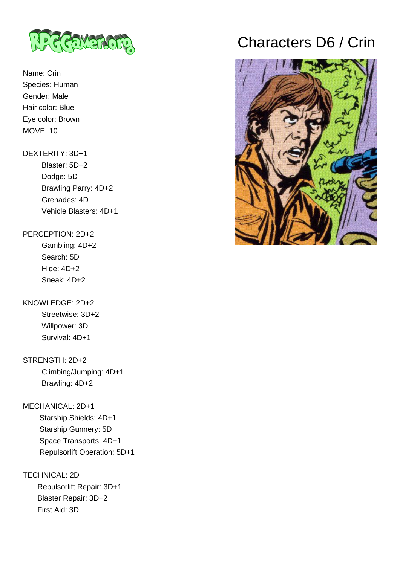

## Name: Crin Species: Human Gender: Male Hair color: Blue Eye color: Brown MOVE: 10

#### DEXTERITY: 3D+1

 Blaster: 5D+2 Dodge: 5D Brawling Parry: 4D+2 Grenades: 4D Vehicle Blasters: 4D+1

#### PERCEPTION: 2D+2

 Gambling: 4D+2 Search: 5D Hide: 4D+2 Sneak: 4D+2

### KNOWLEDGE: 2D+2

 Streetwise: 3D+2 Willpower: 3D Survival: 4D+1

## STRENGTH: 2D+2

 Climbing/Jumping: 4D+1 Brawling: 4D+2

### MECHANICAL: 2D+1

 Starship Shields: 4D+1 Starship Gunnery: 5D Space Transports: 4D+1 Repulsorlift Operation: 5D+1

## TECHNICAL: 2D

 Repulsorlift Repair: 3D+1 Blaster Repair: 3D+2 First Aid: 3D

# Characters D6 / Crin

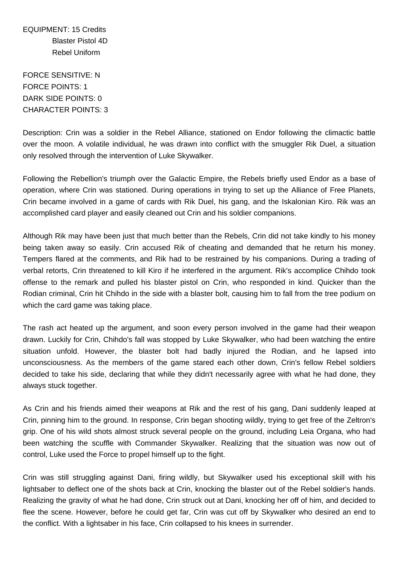EQUIPMENT: 15 Credits Blaster Pistol 4D Rebel Uniform

FORCE SENSITIVE: N FORCE POINTS: 1 DARK SIDE POINTS: 0 CHARACTER POINTS: 3

Description: Crin was a soldier in the Rebel Alliance, stationed on Endor following the climactic battle over the moon. A volatile individual, he was drawn into conflict with the smuggler Rik Duel, a situation only resolved through the intervention of Luke Skywalker.

Following the Rebellion's triumph over the Galactic Empire, the Rebels briefly used Endor as a base of operation, where Crin was stationed. During operations in trying to set up the Alliance of Free Planets, Crin became involved in a game of cards with Rik Duel, his gang, and the Iskalonian Kiro. Rik was an accomplished card player and easily cleaned out Crin and his soldier companions.

Although Rik may have been just that much better than the Rebels, Crin did not take kindly to his money being taken away so easily. Crin accused Rik of cheating and demanded that he return his money. Tempers flared at the comments, and Rik had to be restrained by his companions. During a trading of verbal retorts, Crin threatened to kill Kiro if he interfered in the argument. Rik's accomplice Chihdo took offense to the remark and pulled his blaster pistol on Crin, who responded in kind. Quicker than the Rodian criminal, Crin hit Chihdo in the side with a blaster bolt, causing him to fall from the tree podium on which the card game was taking place.

The rash act heated up the argument, and soon every person involved in the game had their weapon drawn. Luckily for Crin, Chihdo's fall was stopped by Luke Skywalker, who had been watching the entire situation unfold. However, the blaster bolt had badly injured the Rodian, and he lapsed into unconsciousness. As the members of the game stared each other down, Crin's fellow Rebel soldiers decided to take his side, declaring that while they didn't necessarily agree with what he had done, they always stuck together.

As Crin and his friends aimed their weapons at Rik and the rest of his gang, Dani suddenly leaped at Crin, pinning him to the ground. In response, Crin began shooting wildly, trying to get free of the Zeltron's grip. One of his wild shots almost struck several people on the ground, including Leia Organa, who had been watching the scuffle with Commander Skywalker. Realizing that the situation was now out of control, Luke used the Force to propel himself up to the fight.

Crin was still struggling against Dani, firing wildly, but Skywalker used his exceptional skill with his lightsaber to deflect one of the shots back at Crin, knocking the blaster out of the Rebel soldier's hands. Realizing the gravity of what he had done, Crin struck out at Dani, knocking her off of him, and decided to flee the scene. However, before he could get far, Crin was cut off by Skywalker who desired an end to the conflict. With a lightsaber in his face, Crin collapsed to his knees in surrender.